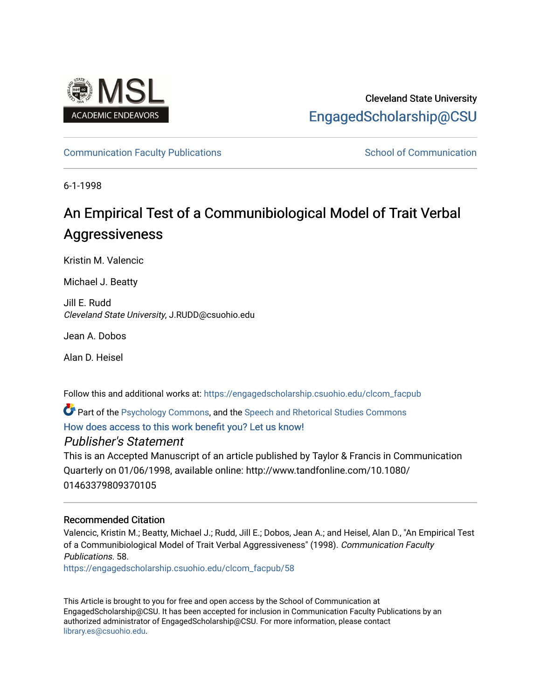

# Cleveland State University [EngagedScholarship@CSU](https://engagedscholarship.csuohio.edu/)

### [Communication Faculty Publications](https://engagedscholarship.csuohio.edu/clcom_facpub) [School of Communication](https://engagedscholarship.csuohio.edu/clcom) School of Communication

6-1-1998

# An Empirical Test of a Communibiological Model of Trait Verbal Aggressiveness

Kristin M. Valencic

Michael J. Beatty

Jill E. Rudd Cleveland State University, J.RUDD@csuohio.edu

Jean A. Dobos

Alan D. Heisel

Follow this and additional works at: [https://engagedscholarship.csuohio.edu/clcom\\_facpub](https://engagedscholarship.csuohio.edu/clcom_facpub?utm_source=engagedscholarship.csuohio.edu%2Fclcom_facpub%2F58&utm_medium=PDF&utm_campaign=PDFCoverPages) 

**P** Part of the [Psychology Commons,](http://network.bepress.com/hgg/discipline/404?utm_source=engagedscholarship.csuohio.edu%2Fclcom_facpub%2F58&utm_medium=PDF&utm_campaign=PDFCoverPages) and the [Speech and Rhetorical Studies Commons](http://network.bepress.com/hgg/discipline/338?utm_source=engagedscholarship.csuohio.edu%2Fclcom_facpub%2F58&utm_medium=PDF&utm_campaign=PDFCoverPages) [How does access to this work benefit you? Let us know!](http://library.csuohio.edu/engaged/)

## Publisher's Statement

This is an Accepted Manuscript of an article published by Taylor & Francis in Communication Quarterly on 01/06/1998, available online: http://www.tandfonline.com/10.1080/ 01463379809370105

### Recommended Citation

Valencic, Kristin M.; Beatty, Michael J.; Rudd, Jill E.; Dobos, Jean A.; and Heisel, Alan D., "An Empirical Test of a Communibiological Model of Trait Verbal Aggressiveness" (1998). Communication Faculty Publications. 58.

[https://engagedscholarship.csuohio.edu/clcom\\_facpub/58](https://engagedscholarship.csuohio.edu/clcom_facpub/58?utm_source=engagedscholarship.csuohio.edu%2Fclcom_facpub%2F58&utm_medium=PDF&utm_campaign=PDFCoverPages) 

This Article is brought to you for free and open access by the School of Communication at EngagedScholarship@CSU. It has been accepted for inclusion in Communication Faculty Publications by an authorized administrator of EngagedScholarship@CSU. For more information, please contact [library.es@csuohio.edu.](mailto:library.es@csuohio.edu)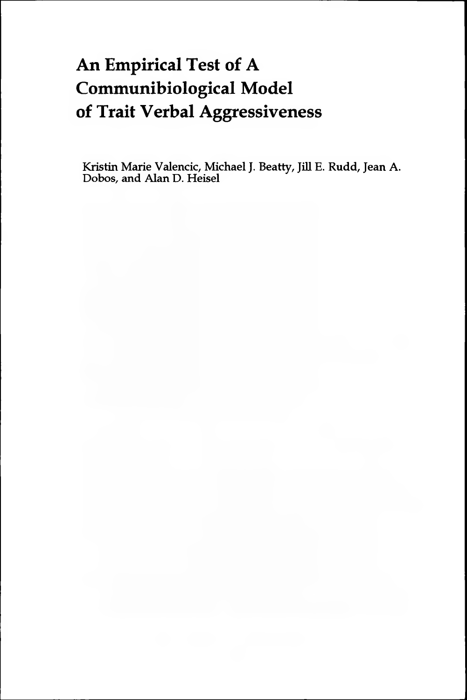# **An Empirical Test of A Communibiological Model of Trait Verbal Aggressiveness**

**Kristin Marie Valencic, Michael J. Beatty, Jill E. Rudd, Jean A. Dobos, and Alan D. Heisel**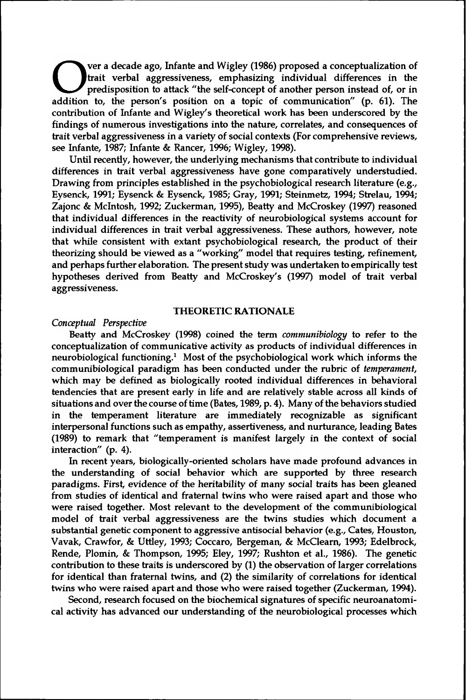The a decade ago, manne and vighey (1900) proposed a conceptualization of the predisposition to attack "the self-concept of another person instead of, or in addition to, the person's position on a topic of communication" ( ver a decade ago, Infante and Wigley (1986) proposed a conceptualization of trait verbal aggressiveness, emphasizing individual differences in the predisposition to attack "the self-concept of another person instead of, or in contribution of Infante and Wigley's theoretical work has been underscored by the findings of numerous investigations into the nature, correlates, and consequences of trait verbal aggressiveness in a variety of social contexts (For comprehensive reviews, see Infante, 1987; Infante & Rancer, 1996; Wigley, 1998).

Until recently, however, the underlying mechanisms that contribute to individual differences in trait verbal aggressiveness have gone comparatively understudied. Drawing from principles established in the psychobiological research literature (e.g., Eysenck, 1991; Eysenck & Eysenck, 1985; Gray, 1991; Steinmetz, 1994; Strelau, 1994; Zajonc & McIntosh, 1992; Zuckerman, 1995), Beatty and McCroskey (1997) reasoned that individual differences in the reactivity of neurobiological systems account for individual differences in trait verbal aggressiveness. These authors, however, note that while consistent with extant psychobiological research, the product of their theorizing should be viewed as a "working" model that requires testing, refinement, and perhaps further elaboration. The present study was undertaken to empirically test hypotheses derived from Beatty and McCroskey's (1997) model of trait verbal aggressiveness.

#### **THEORETIC RATIONALE**

#### *Conceptual Perspective*

Beatty and McCroskey (1998) coined the term *communibiology* to refer to the conceptualization of communicative activity as products of individual differences in neurobiological functioning.<sup>1</sup> Most of the psychobiological work which informs the communibiological paradigm has been conducted under the rubric of *temperament,* which may be defined as biologically rooted individual differences in behavioral tendencies that are present early in life and are relatively stable across all kinds of situations and over the course of time (Bates, 1989, p. 4). Many of the behaviors studied in the temperament literature are immediately recognizable as significant interpersonal functions such as empathy, assertiveness, and nurturance, leading Bates (1989) to remark that "temperament is manifest largely in the context of social interaction" (p. 4).

In recent years, biologically-oriented scholars have made profound advances in the understanding of social behavior which are supported by three research paradigms. First, evidence of the heritability of many social traits has been gleaned from studies of identical and fraternal twins who were raised apart and those who were raised together. Most relevant to the development of the communibiological model of trait verbal aggressiveness are the twins studies which document a substantial genetic component to aggressive antisocial behavior (e.g., Cates, Houston, Vavak, Crawfor, & Uttley, 1993; Coccaro, Bergeman, & McClearn, 1993; Edelbrock, Rende, Plomin, & Thompson, 1995; Eley, 1997; Rushton et al., 1986). The genetic contribution to these traits is underscored by (1) the observation of larger correlations for identical than fraternal twins, and (2) the similarity of correlations for identical twins who were raised apart and those who were raised together (Zuckerman, 1994).

Second, research focused on the biochemical signatures of specific neuroanatomical activity has advanced our understanding of the neurobiological processes which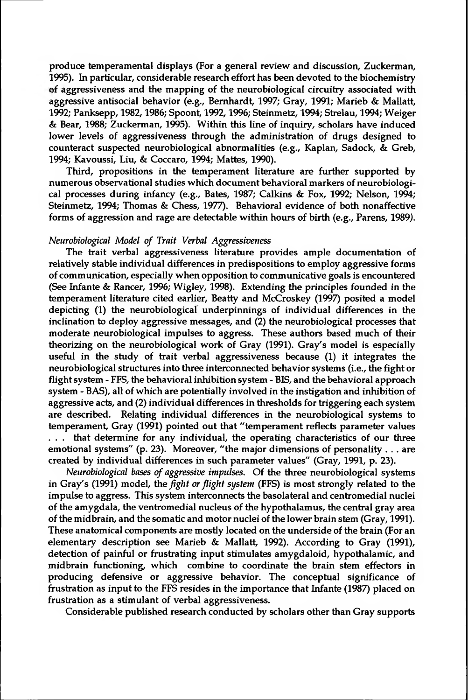produce temperamental displays (For a general review and discussion, Zuckerman, 1995). In particular, considerable research effort has been devoted to the biochemistry of aggressiveness and the mapping of the neurobiological circuitry associated with aggressive antisocial behavior (e.g., Bernhardt, 1997; Gray, 1991; Marieb & Mallatt, 1992; Panksepp, 1982,1986; Spoont, 1992,1996; Steinmetz, 1994; Strelau, 1994; Weiger & Bear, 1988; Zuckerman, 1995). Within this line of inquiry, scholars have induced lower levels of aggressiveness through the administration of drugs designed to counteract suspected neurobiological abnormalities (e.g., Kaplan, Sadock, & Greb, 1994; Kavoussi, Liu, & Coccaro, 1994; Mattes, 1990).

Third, propositions in the temperament literature are further supported by numerous observational studies which document behavioral markers of neurobiological processes during infancy (e.g., Bates, 1987; Calkins & Fox, 1992; Nelson, 1994; Steinmetz, 1994; Thomas & Chess, 1977). Behavioral evidence of both nonaffective forms of aggression and rage are detectable within hours of birth (e.g., Parens, 1989).

#### *Neurobiological Model of Trait Verbal Aggressiveness*

The trait verbal aggressiveness literature provides ample documentation of relatively stable individual differences in predispositions to employ aggressive forms of communication, especially when opposition to communicative goals is encountered (See Infante & Rancer, 1996; Wigley, 1998). Extending the principles founded in the temperament literature cited earlier, Beatty and McCroskey (1997) posited a model depicting (1) the neurobiological underpinnings of individual differences in the inclination to deploy aggressive messages, and  $(2)$  the neurobiological processes that moderate neurobiological impulses to aggress. These authors based much of their theorizing on the neurobiological work of Gray (1991). Gray's model is especially useful in the study of trait verbal aggressiveness because (1) it integrates the neurobiological structures into three interconnected behavior systems (i.e., the fight or flight system - FFS, the behavioral inhibition system - BIS, and the behavioral approach system - BAS), all of which are potentially involved in the instigation and inhibition of aggressive acts, and (2) individual differences in thresholds for triggering each system are described. Relating individual differences in the neurobiological systems to temperament, Gray (1991) pointed out that "temperament reflects parameter values . . . that determine for any individual, the operating characteristics of our three emotional systems" (p. 23). Moreover, "the major dimensions of personality . . . are created by individual differences in such parameter values" (Gray, 1991, p. 23).

*Neurobiological bases of aggressive impulses.* Of the three neurobiological systems in Gray's (1991) model, the *fight orflight system* (FFS) is most strongly related to the impulse to aggress. This system interconnects the basolateral and centromedial nuclei of the amygdala, the ventromedial nucleus of the hypothalamus, the central gray area of the midbrain, and the somatic and motor nuclei of the lower brain stem (Gray, 1991). These anatomical components are mostly located on the underside of the brain (For an elementary description see Marieb & Mallatt, 1992). According to Gray (1991), detection of painful or frustrating input stimulates amygdaloid, hypothalamic, and midbrain functioning, which combine to coordinate the brain stem effectors in producing defensive or aggressive behavior. The conceptual significance of frustration as input to the FFS resides in the importance that Infante (1987) placed on frustration as a stimulant of verbal aggressiveness.

Considerable published research conducted by scholars other than Gray supports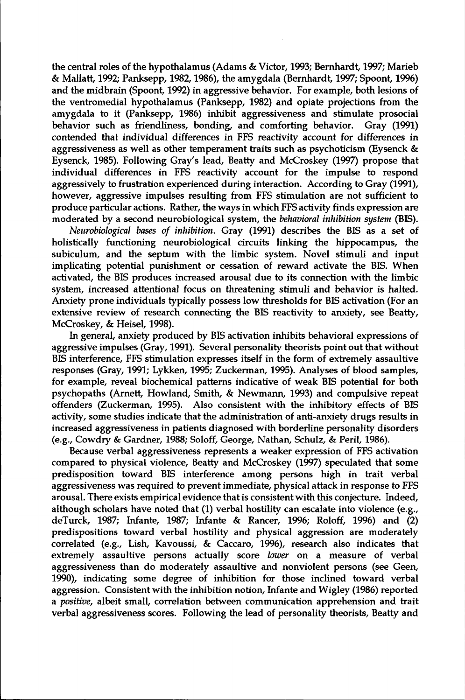the central roles of the hypothalamus (Adams & Victor, 1993; Bernhardt, 1997; Marieb & Mallatt, 1992; Panksepp, 1982,1986), the amygdala (Bernhardt, 1997; Spoont, 1996) and the midbrain (Spoont, 1992) in aggressive behavior. For example, both lesions of the ventromedial hypothalamus (Panksepp, 1982) and opiate projections from the amygdala to it (Panksepp, 1986) inhibit aggressiveness and stimulate prosocial behavior such as friendliness, bonding, and comforting behavior. Gray (1991) contended that individual differences in FFS reactivity account for differences in aggressiveness as well as other temperament traits such as psychoticism (Eysenck & Eysenck, 1985). Following Gray's lead, Beatty and McCroskey (1997) propose that individual differences in FFS reactivity account for the impulse to respond aggressively to frustration experienced during interaction. According to Gray (1991), however, aggressive impulses resulting from FFS stimulation are not sufficient to produce particular actions. Rather, the ways in which FFS activity finds expression are moderated by a second neurobiological system, the *behavioral inhibition system* (BIS).

*Neurobiological bases of inhibition.* Gray (1991) describes the BIS as a set of holistically functioning neurobiological circuits linking the hippocampus, the subiculum, and the septum with the limbic system. Novel stimuli and input implicating potential punishment or cessation of reward activate the BIS. When activated, the BIS produces increased arousal due to its connection with the limbic system, increased attentional focus on threatening stimuli and behavior is halted. Anxiety prone individuals typically possess low thresholds for BIS activation (For an extensive review of research connecting the BIS reactivity to anxiety, see Beatty, McCroskey, & Heisel, 1998).

In general, anxiety produced by BIS activation inhibits behavioral expressions of aggressive impulses (Gray, 1991). Several personality theorists point out that without BIS interference, FFS stimulation expresses itself in the form of extremely assaultive responses (Gray, 1991; Lykken, 1995; Zuckerman, 1995). Analyses of blood samples, for example, reveal biochemical patterns indicative of weak BIS potential for both psychopaths (Arnett, Howland, Smith, & Newmann, 1993) and compulsive repeat offenders (Zuckerman, 1995). Also consistent with the inhibitory effects of BIS activity, some studies indicate that the administration of anti-anxiety drugs results in increased aggressiveness in patients diagnosed with borderline personality disorders (e.g., Cowdry & Gardner, 1988; Soloff, George, Nathan, Schulz, & Peril, 1986).

Because verbal aggressiveness represents a weaker expression of FFS activation compared to physical violence, Beatty and McCroskey (1997) speculated that some predisposition toward BIS interference among persons high in trait verbal aggressiveness was required to prevent immediate, physical attack in response to FFS arousal. There exists empirical evidence that is consistent with this conjecture. Indeed, although scholars have noted that (1) verbal hostility can escalate into violence (e.g., deTurck, 1987; Infante, 1987; Infante & Rancer, 1996; Roloff, 1996) and (2) predispositions toward verbal hostility and physical aggression are moderately correlated (e.g., Lish, Kavoussi, & Caccaro, 1996), research also indicates that extremely assaultive persons actually score *lower* on a measure of verbal aggressiveness than do moderately assaultive and nonviolent persons (see Geen, 1990), indicating some degree of inhibition for those inclined toward verbal aggression. Consistent with the inhibition notion, Infante and Wigley (1986) reported a *positive,* albeit small, correlation between communication apprehension and trait verbal aggressiveness scores. Following the lead of personality theorists, Beatty and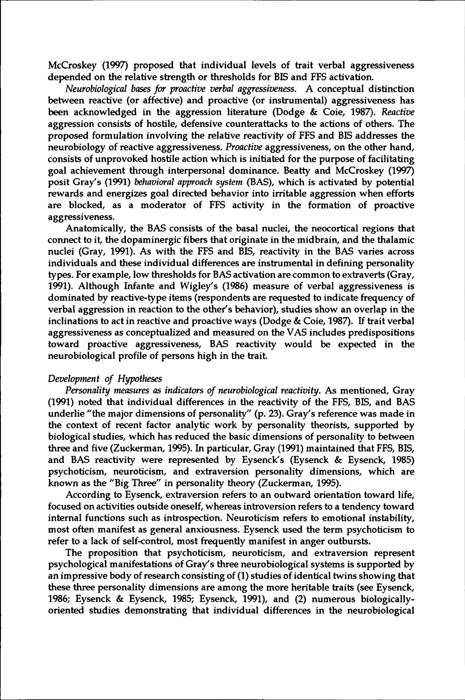McCroskey (1997) proposed that individual levels of trait verbal aggressiveness depended on the relative strength or thresholds for BIS and FFS activation.

*Neurobiological bases for proactive verbal aggressiveness.* A conceptual distinction between reactive (or affective) and proactive (or instrumental) aggressiveness has been acknowledged in the aggression literature (Dodge & Coie, 1987). *Reactive* aggression consists of hostile, defensive counterattacks to the actions of others. The proposed formulation involving the relative reactivity of FFS and BIS addresses the neurobiology of reactive aggressiveness. *Proactive* aggressiveness, on the other hand, consists of unprovoked hostile action which is initiated for the purpose of facilitating goal achievement through interpersonal dominance. Beatty and McCroskey (1997) posit Gray's (1991) *behavioral approach system* (BAS), which is activated by potential rewards and energizes goal directed behavior into irritable aggression when efforts are blocked, as a moderator of FFS activity in the formation of proactive aggressiveness.

Anatomically, the BAS consists of the basal nuclei, the neocortical regions that connect to it, the dopaminergic fibers that originate in the midbrain, and the thalamic nuclei (Gray, 1991). As with the FFS and BIS, reactivity in the BAS varies across individuals and these individual differences are instrumental in defining personality types. For example, low thresholds for BAS activation are common to extraverts (Gray, 1991). Although Infante and Wigley's (1986) measure of verbal aggressiveness is dominated by reactive-type items (respondents are requested to indicate frequency of verbal aggression in reaction to the other's behavior), studies show an overlap in the inclinations to act in reactive and proactive ways (Dodge & Coie, 1987). If trait verbal aggressiveness as conceptualized and measured on the VAS includes predispositions toward proactive aggressiveness, BAS reactivity would be expected in the neurobiological profile of persons high in the trait.

#### *Development of Hypotheses*

*Personality measures as indicators of neurobiological reactivity.* As mentioned, Gray (1991) noted that individual differences in the reactivity of the FFS, BIS, and BAS underlie "the major dimensions of personality" (p. 23). Gray's reference was made in the context of recent factor analytic work by personality theorists, supported by biological studies, which has reduced the basic dimensions of personality to between three and five (Zuckerman, 1995). In particular, Gray (1991) maintained that FFS, BIS, and BAS reactivity were represented by Eysenck's (Eysenck & Eysenck, 1985) psychoticism, neuroticism, and extraversion personality dimensions, which are known as the "Big Three" in personality theory (Zuckerman, 1995).

According to Eysenck, extraversion refers to an outward orientation toward life, focused on activities outside oneself, whereas introversion refers to a tendency toward internal functions such as introspection. Neuroticism refers to emotional instability, most often manifest as general anxiousness. Eysenck used the term psychoticism to refer to a lack of self-control, most frequently manifest in anger outbursts.

The proposition that psychoticism, neuroticism, and extraversion represent psychological manifestations of Gray's three neurobiological systems is supported by an impressive body of research consisting of (1) studies of identical twins showing that these three personality dimensions are among the more heritable traits (see Eysenck, 1986; Eysenck & Eysenck, 1985; Eysenck, 1991), and (2) numerous biologicallyoriented studies demonstrating that individual differences in the neurobiological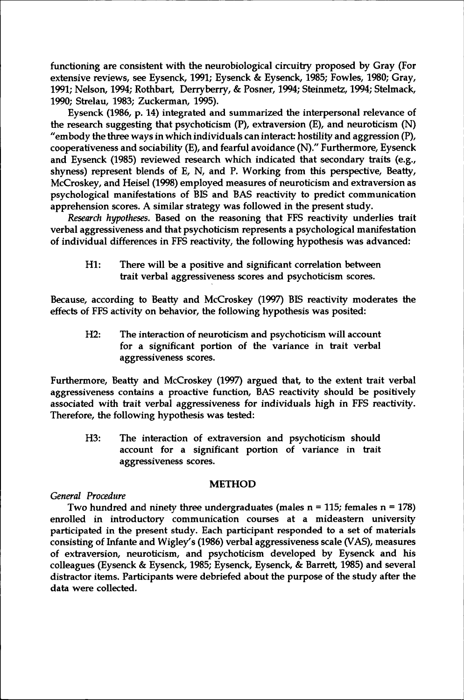functioning are consistent with the neurobiological circuitry proposed by Gray (For extensive reviews, see Eysenck, 1991; Eysenck & Eysenck, 1985; Fowles, 1980; Gray, 1991; Nelson, 1994; Rothbart, Derryberry, & Posner, 1994; Steinmetz, 1994; Stelmack, 1990; Strelau, 1983; Zuckerman, 1995).

Eysenck (1986, p. 14) integrated and summarized the interpersonal relevance of the research suggesting that psychoticism (P), extraversion (E), and neuroticism (N) "embody the three ways in which individuals can interact: hostility and aggression  $(P)$ , cooperativeness and sociability (E), and fearful avoidance (N)." Furthermore, Eysenck and Eysenck (1985) reviewed research which indicated that secondary traits (e.g., shyness) represent blends of E, N, and P. Working from this perspective, Beatty, McCroskey, and Heisel (1998) employed measures of neuroticism and extraversion as psychological manifestations of BIS and BAS reactivity to predict communication apprehension scores. A similar strategy was followed in the present study.

*Research hypotheses.* Based on the reasoning that FFS reactivity underlies trait verbal aggressiveness and that psychoticism represents a psychological manifestation of individual differences in FFS reactivity, the following hypothesis was advanced:

Hl: There will be a positive and significant correlation between trait verbal aggressiveness scores and psychoticism scores.

Because, according to Beatty and McCroskey (1997) BIS reactivity moderates the effects of FFS activity on behavior, the following hypothesis was posited:

H2: The interaction of neuroticism and psychoticism will account for a significant portion of the variance in trait verbal aggressiveness scores.

Furthermore, Beatty and McCroskey (1997) argued that, to the extent trait verbal aggressiveness contains a proactive function, BAS reactivity should be positively associated with trait verbal aggressiveness for individuals high in FFS reactivity. Therefore, the following hypothesis was tested:

H3: The interaction of extraversion and psychoticism should account for a significant portion of variance in trait aggressiveness scores.

#### **METHOD**

#### *General Procedure*

Two hundred and ninety three undergraduates (males  $n = 115$ ; females  $n = 178$ ) enrolled in introductory communication courses at a mideastern university participated in the present study. Each participant responded to a set of materials consisting of Infante and Wigley's (1986) verbal aggressiveness scale (VAS), measures of extraversion, neuroticism, and psychoticism developed by Eysenck and his colleagues (Eysenck & Eysenck, 1985; Eysenck, Eysenck, & Barrett, 1985) and several distractor items. Participants were debriefed about the purpose of the study after the data were collected.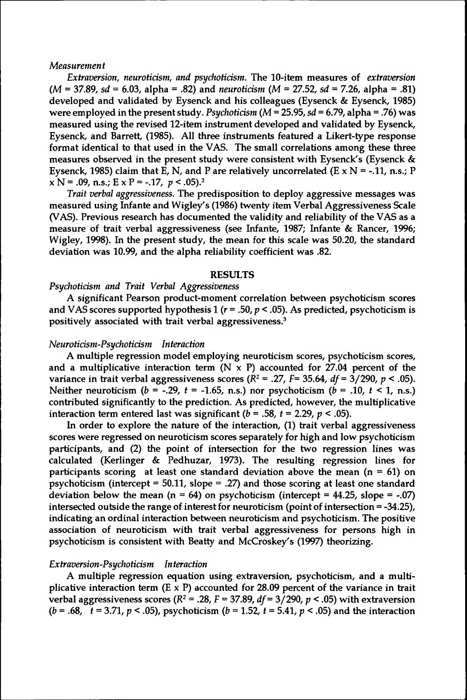#### *Measurement*

*Extraversion, neuroticism, and psychoticism.* The 10-item measures of *extraversion (M* = 37.89, *sd* = 6.03, alpha = .82) and *neuroticism (M = 27.52, sd = 7.26,* alpha = .81) developed and validated by Eysenck and his colleagues (Eysenck & Eysenck, 1985) were employed in the present study. *Psychoticism (M =* 25.95, *sd* = 6.79, alpha = .76) was measured using the revised 12-item instrument developed and validated by Eysenck, Eysenck, and Barrett, (1985). All three instruments featured a Likert-type response format identical to that used in the VAS. The small correlations among these three measures observed in the present study were consistent with Eysenck's (Eysenck & Eysenck, 1985) claim that E, N, and P are relatively uncorrelated (E  $\times$  N = -.11, n.s.; P  $x N = .09$ , n.s.;  $E x P = -.17$ ,  $p < .05$ ).<sup>2</sup>

*Trait verbal aggressiveness.* The predisposition to deploy aggressive messages was measured using Infante and Wigley's (1986) twenty item Verbal Aggressiveness Scale (VAS). Previous research has documented the validity and reliability of the VAS as a measure of trait verbal aggressiveness (see Infante, 1987; Infante & Rancer, 1996; Wigley, 1998). In the present study, the mean for this scale was 50.20, the standard deviation was 10.99, and the alpha reliability coefficient was .82.

#### **RESULTS**

#### *Psychoticism and Trait Verbal Aggressiveness*

A significant Pearson product-moment correlation between psychoticism scores and VAS scores supported hypothesis 1 ( $r = .50$ ,  $p < .05$ ). As predicted, psychoticism is positively associated with trait verbal aggressiveness.<sup>3</sup>

#### *Neuroticism-Psychoticism Interaction*

A multiple regression model employing neuroticism scores, psychoticism scores, and a multiplicative interaction term  $(N \times P)$  accounted for 27.04 percent of the variance in trait verbal aggressiveness scores  $(R^2 = .27, F = 35.64, df = 3/290, p < .05)$ . Neither neuroticism  $(b = -.29, t = -1.65, n.s.)$  nor psychoticism  $(b = .10, t < 1, n.s.)$ contributed significantly to the prediction. As predicted, however, the multiplicative interaction term entered last was significant  $(b = .58, t = 2.29, p < .05)$ .

In order to explore the nature of the interaction, (1) trait verbal aggressiveness scores were regressed on neuroticism scores separately for high and low psychoticism participants, and (2) the point of intersection for the two regression lines was calculated (Kerlinger & Pedhuzar, 1973). The resulting regression lines for participants scoring at least one standard deviation above the mean  $(n = 61)$  on psychoticism (intercept = 50.11, slope = .27) and those scoring at least one standard deviation below the mean ( $n = 64$ ) on psychoticism (intercept = 44.25, slope = -.07) intersected outside the range of interest for neuroticism (point of intersection  $= -34.25$ ), indicating an ordinal interaction between neuroticism and psychoticism. The positive association of neuroticism with trait verbal aggressiveness for persons high in psychoticism is consistent with Beatty and McCroskey's (1997) theorizing.

#### *Extraversion-Psychoticism Interaction*

A multiple regression equation using extraversion, psychoticism, and a multiplicative interaction term  $(E \times P)$  accounted for 28.09 percent of the variance in trait verbal aggressiveness scores  $(R^2 = .28, F = 37.89, df = 3/290, p < .05)$  with extraversion  $(b = .68, t = 3.71, p < .05)$ , psychoticism  $(b = 1.52, t = 5.41, p < .05)$  and the interaction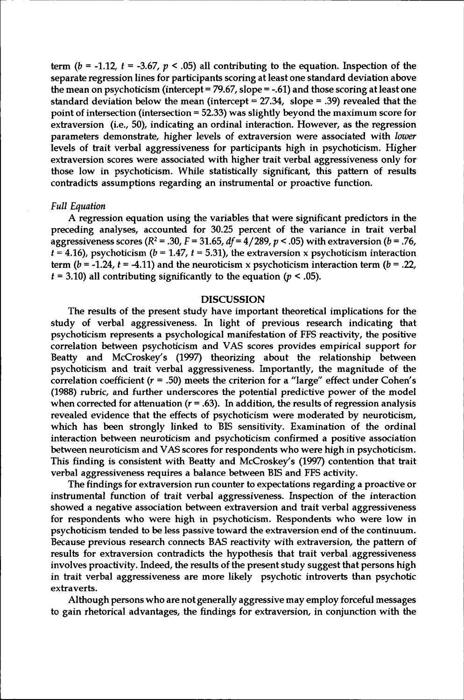term  $(b = -1.12, t = -3.67, p < .05)$  all contributing to the equation. Inspection of the separate regression lines for participants scoring at least one standard deviation above the mean on psychoticism (intercept = 79.67, slope = -.61) and those scoring at least one standard deviation below the mean (intercept =  $27.34$ , slope = .39) revealed that the point of intersection (intersection = 52.33) was slightly beyond the maximum score for extraversion (i.e., 50), indicating an ordinal interaction. However, as the regression parameters demonstrate, higher levels of extraversion were associated with *lower* levels of trait verbal aggressiveness for participants high in psychoticism. Higher extraversion scores were associated with higher trait verbal aggressiveness only for those low in psychoticism. While statistically significant, this pattern of results contradicts assumptions regarding an instrumental or proactive function.

#### *Full Equation*

A regression equation using the variables that were significant predictors in the preceding analyses, accounted for 30.25 percent of the variance in trait verbal aggressiveness scores ( $R^2$  = .30,  $F$  = 31.65,  $df$  = 4/289,  $p$  < .05) with extraversion ( $b$  = .76,  $t = 4.16$ ), psychoticism ( $b = 1.47$ ,  $t = 5.31$ ), the extraversion x psychoticism interaction term  $(b = -1.24, t = -4.11)$  and the neuroticism x psychoticism interaction term  $(b = .22,$  $f = 3.10$ ) all contributing significantly to the equation  $(p < .05)$ .

#### **DISCUSSION**

The results of the present study have important theoretical implications for the study of verbal aggressiveness. In light of previous research indicating that psychoticism represents a psychological manifestation of FFS reactivity, the positive correlation between psychoticism and VAS scores provides empirical support for Beatty and McCroskey's (1997) theorizing about the relationship between psychoticism and trait verbal aggressiveness. Importantly, the magnitude of the correlation coefficient  $(r = .50)$  meets the criterion for a "large" effect under Cohen's (1988) rubric, and further underscores the potential predictive power of the model when corrected for attenuation ( $r = .63$ ). In addition, the results of regression analysis revealed evidence that the effects of psychoticism were moderated by neuroticism, which has been strongly linked to BIS sensitivity. Examination of the ordinal interaction between neuroticism and psychoticism confirmed a positive association between neuroticism and VAS scores for respondents who were high in psychoticism. This finding is consistent with Beatty and McCroskey's (1997) contention that trait verbal aggressiveness requires a balance between BIS and FFS activity.

The findings for extraversion run counter to expectations regarding a proactive or instrumental function of trait verbal aggressiveness. Inspection of the interaction showed a negative association between extraversion and trait verbal aggressiveness for respondents who were high in psychoticism. Respondents who were low in psychoticism tended to be less passive toward the extraversion end of the continuum. Because previous research connects BAS reactivity with extraversion, the pattern of results for extraversion contradicts the hypothesis that trait verbal aggressiveness involves proactivity. Indeed, the results of the present study suggest that persons high in trait verbal aggressiveness are more likely psychotic introverts than psychotic extraverts.

Although persons who are notgenerally aggressive may employ forceful messages to gain rhetorical advantages, the findings for extraversion, in conjunction with the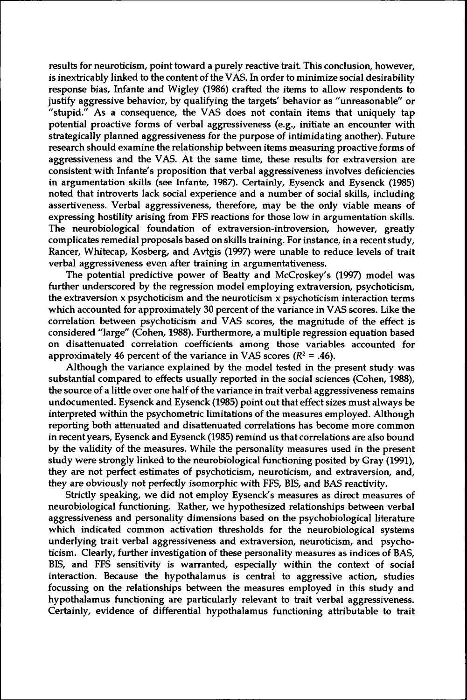results for neuroticism, point toward a purely reactive trait This conclusion, however, is inextricably linked to the content of the VAS. In order to minimize social desirability response bias, Infante and Wigley (1986) crafted the items to allow respondents to justify aggressive behavior, by qualifying the targets' behavior as "unreasonable" or "stupid." As a consequence, the VAS does not contain items that uniquely tap potential proactive forms of verbal aggressiveness (e.g., initiate an encounter with strategically planned aggressiveness for the purpose of intimidating another). Future research should examine the relationship between items measuring proactive forms of aggressiveness and the VAS. At the same time, these results for extraversion are consistent with Infante's proposition that verbal aggressiveness involves deficiencies in argumentation skills (see Infante, 1987). Certainly, Eysenck and Eysenck (1985) noted that introverts lack social experience and a number of social skills, including assertiveness. Verbal aggressiveness, therefore, may be the only viable means of expressing hostility arising from FFS reactions for those low in argumentation skills. The neurobiological foundation of extraversion-introversion, however, greatly complicates remedial proposals based on skills training. For instance, in a recent study, Rancer, Whitecap, Kosberg, and Avtgis (1997) were unable to reduce levels of trait verbal aggressiveness even after training in argumentativeness.

The potential predictive power of Beatty and McCroskey's (1997) model was further underscored by the regression model employing extraversion, psychoticism, the extraversion  $x$  psychoticism and the neuroticism  $x$  psychoticism interaction terms which accounted for approximately 30 percent of the variance in VAS scores. Like the correlation between psychoticism and VAS scores, the magnitude of the effect is considered "large" (Cohen, 1988). Furthermore, a multiple regression equation based on disattenuated correlation coefficients among those variables accounted for approximately 46 percent of the variance in VAS scores  $(R^2 = .46)$ .

Although the variance explained by the model tested in the present study was substantial compared to effects usually reported in the social sciences (Cohen, 1988), the source of a little over one half of the variance in trait verbal aggressiveness remains undocumented. Eysenck and Eysenck (1985) point out that effect sizes must always be interpreted within the psychometric limitations of the measures employed. Although reporting both attenuated and disattenuated correlations has become more common in recentyears, Eysenck and Eysenck (1985) remind us that correlations are also bound by the validity of the measures. While the personality measures used in the present study were strongly linked to the neurobiological functioning posited by Gray (1991), they are not perfect estimates of psychoticism, neuroticism, and extraversion, and, they are obviously not perfectly isomorphic with FFS, BIS, and BAS reactivity.

Strictly speaking, we did not employ Eysenck's measures as direct measures of neurobiological functioning. Rather, we hypothesized relationships between verbal aggressiveness and personality dimensions based on the psychobiological literature which indicated common activation thresholds for the neurobiological systems underlying trait verbal aggressiveness and extraversion, neuroticism, and psychoticism. Clearly, further investigation of these personality measures as indices of BAS, BIS, and FFS sensitivity is warranted, especially within the context of social interaction. Because the hypothalamus is central to aggressive action, studies focussing on the relationships between the measures employed in this study and hypothalamus functioning are particularly relevant to trait verbal aggressiveness. Certainly, evidence of differential hypothalamus functioning attributable to trait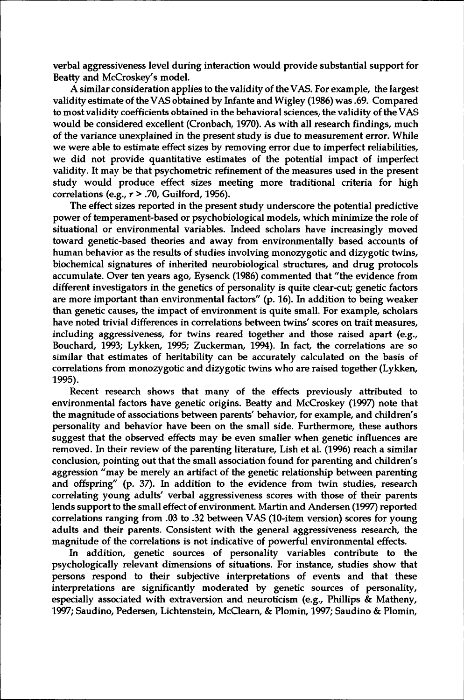verbal aggressiveness level during interaction would provide substantial support for Beatty and McCroskey's model.

A similar consideration applies to the validity of the VAS. For example, the largest validity estimate of the VAS obtained by Infante and Wigley (1986) was .69. Compared to most validity coefficients obtained in the behavioral sciences, the validity of the VAS would be considered excellent (Cronbach, 1970). As with all research findings, much of the variance unexplained in the present study is due to measurement error. While we were able to estimate effect sizes by removing error due to imperfect reliabilities, we did not provide quantitative estimates of the potential impact of imperfect validity. It may be that psychometric refinement of the measures used in the present study would produce effect sizes meeting more traditional criteria for high correlations (e.g., *r* > .70, Guilford, 1956).

The effect sizes reported in the present study underscore the potential predictive power of temperament-based or psychobiological models, which minimize the role of situational or environmental variables. Indeed scholars have increasingly moved toward genetic-based theories and away from environmentally based accounts of human behavior as the results of studies involving monozygotic and dizygotic twins, biochemical signatures of inherited neurobiological structures, and drug protocols accumulate. Over ten years ago, Eysenck (1986) commented that "the evidence from different investigators in the genetics of personality is quite clear-cut; genetic factors are more important than environmental factors" (p. 16). In addition to being weaker than genetic causes, the impact of environment is quite small. For example, scholars have noted trivial differences in correlations between twins' scores on trait measures, including aggressiveness, for twins reared together and those raised apart (e.g., Bouchard, 1993; Lykken, 1995; Zuckerman, 1994). In fact, the correlations are so similar that estimates of heritability can be accurately calculated on the basis of correlations from monozygotic and dizygotic twins who are raised together (Lykken, 1995).

Recent research shows that many of the effects previously attributed to environmental factors have genetic origins. Beatty and McCroskey (1997) note that the magnitude of associations between parents' behavior, for example, and children's personality and behavior have been on the small side. Furthermore, these authors suggest that the observed effects may be even smaller when genetic influences are removed. In their review of the parenting literature, Lish et al. (1996) reach a similar conclusion, pointing out that the small association found for parenting and children's aggression "may be merely an artifact of the genetic relationship between parenting and offspring" (p. 37). In addition to the evidence from twin studies, research correlating young adults' verbal aggressiveness scores with those of their parents lends support to the small effect of environment. Martin and Andersen (1997) reported correlations ranging from .03 to .32 between VAS (10-item version) scores for young adults and their parents. Consistent with the general aggressiveness research, the magnitude of the correlations is not indicative of powerful environmental effects.

In addition, genetic sources of personality variables contribute to the psychologically relevant dimensions of situations. For instance, studies show that persons respond to their subjective interpretations of events and that these interpretations are significantly moderated by genetic sources of personality, especially associated with extraversion and neuroticism (e.g., Phillips & Matheny, 1997; Saudino, Pedersen, Lichtenstein, McClearn, & Plomin, 1997; Saudino & Plomin,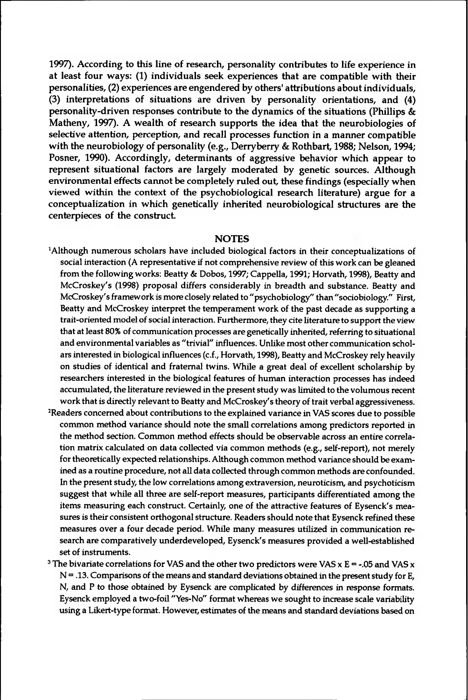1997). According to this line of research, personality contributes to life experience in at least four ways: (1) individuals seek experiences that are compatible with their personalities, (2) experiences are engendered by others' attributions aboutindividuals, (3) interpretations of situations are driven by personality orientations, and (4) personality-driven responses contribute to the dynamics of the situations (Phillips & Matheny, 1997). A wealth of research supports the idea that the neurobiologies of selective attention, perception, and recall processes function in a manner compatible with the neurobiology of personality (e.g., Derryberry & Rothbart, 1988; Nelson, 1994; Posner, 1990). Accordingly, determinants of aggressive behavior which appear to represent situational factors are largely moderated by genetic sources. Although environmental effects cannot be completely ruled out, these findings (especially when viewed within the context of the psychobiological research literature) argue for a conceptualization in which genetically inherited neurobiological structures are the centerpieces of the construct

#### **NOTES**

- 'Although numerous scholars have included biological factors in their conceptualizations of social interaction (A representative if not comprehensive review of this work can be gleaned fromthe following works: Beatty & Dobos, 1997; Cappella, 1991; Horvath, 1998), Beatty and McCroskey's (1998) proposal differs considerably in breadth and substance. Beatty and McCroskey's framework is more closely related to "psychobiology" than "sociobiology." First, Beatty and McCroskey interpret the temperament work of the past decade as supporting a trait-oriented model of social interaction. Furthermore, they cite literature to support the view that at least 80% of communication processes are genetically inherited, referring to situational and environmental variables as "trivial" influences. Unlike most other communication scholars interested in biological influences (c.f., Horvath, 1998), Beatty and McCroskey rely heavily on studies of identical and fraternal twins. While a great deal of excellent scholarship by researchers interested in the biological features of human interaction processes has indeed accumulated, the literature reviewed in the present study was limited to the volumous recent work that is directly relevant to Beatty and McCroskey's theory of trait verbal aggressiveness.
- <sup>2</sup>Readers concerned about contributions to the explained variance in VAS scores due to possible common method variance should note the small correlations among predictors reported in the method section. Common method effects should be observable across an entire correlation matrix calculated on data collected via common methods (e.g., self-report), not merely for theoretically expected relationships. Although common method variance should be examined as a routine procedure, not all data collected through common methods are confounded. In the present study, the low correlations among extraversion, neuroticism, and psychoticism suggest that while all three are self-report measures, participants differentiated among the items measuring each construct. Certainly, one of the attractive features of Eysenck's measures is their consistent orthogonal structure. Readers should note that Eysenck refined these measures over a four decade period. While many measures utilized in communication research are comparatively underdeveloped, Eysenck's measures provided a well-established set of instruments.
- <sup>3</sup> The bivariate correlations for VAS and the other two predictors were VAS x E = -.05 and VAS x  $N = 0.13$ . Comparisons of the means and standard deviations obtained in the present study for E, N, and P to those obtained by Eysenck are complicated by differences in response formats. Eysenck employed a two-foil "Yes-No" format whereas we sought to increase scale variability using a Likert-type format. However, estimates of the means and standard deviations based on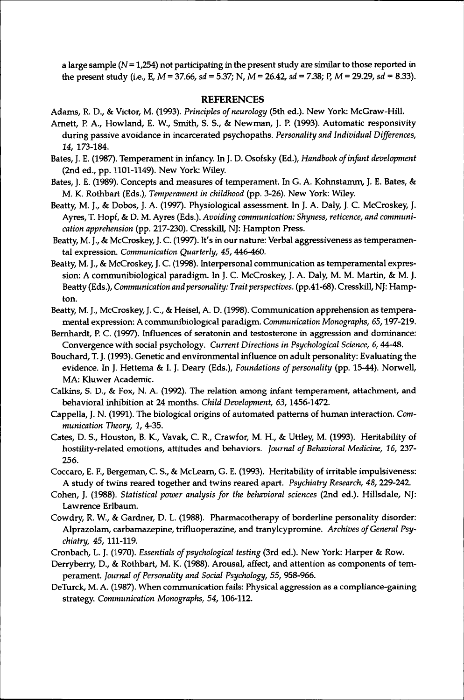a large sample  $(N=1,254)$  not participating in the present study are similar to those reported in the present study (i.e., E, *M* = 37.66, *sd <sup>=</sup> 5.37;* N, *M =* 26.42, *sd* = 7.38; P, *M* = 29.29, *sd* = 8.33).

#### **REFERENCES**

- Adams, R. D., & Victor, M. (1993). *Principles ofneurology* (5th ed.). New York: McGraw-Hill.
- Arnett, P. A., Howland, E. W., Smith, S. S., & Newman, J. P. (1993). Automatic responsivity during passive avoidance in incarcerated psychopaths. *Personality and Individual Differences, 14,* 173-184.
- Bates, J. E. (1987). Temperament in infancy. In J. D. Osofsky (Ed.), *Handbook ofinfant development* (2nd ed., pp. 1101-1149). New York: Wiley.
- Bates, J. E. (1989). Concepts and measures of temperament. In G. A. Kohnstamm, J. E. Bates, & M. K. Rothbart (Eds.), *Temperament in childhood* (pp. 3-26). New York: Wiley.
- Beatty, M. J., & Dobos, J. A. (1997). Physiological assessment. In J. A. Daly, J. C. McCroskey, J. Ayres, T. Hopf, & D. M. Ayres (Eds.). *Avoiding communication: Shyness, reticence, and communication apprehension* (pp. 217-230). Cresskill, NJ: Hampton Press.
- Beatty, M. J., & McCroskey, J. C. (1997). It's in our nature: Verbal aggressiveness as temperamental expression. *Communication Quarterly, 45,* 446-460.
- Beatty, M. J., & McCroskey, J. C. (1998). Interpersonal communication as temperamental expression: A communibiological paradigm. In J. C. McCroskey, J. A. Daly, M. M. Martin, & M. J. Beatty (Eds.), *Communication and personality: Traitperspectives,* (pp.41-68). Cresskill, NJ: Hampton.
- Beatty, M. J., McCroskey, J. C., & Heisel, A. D. (1998). Communication apprehension as temperamental expression: A communibiological paradigm. *Communication Monographs,* 65,197-219.
- Bernhardt, P. C. (1997). Influences of seratonin and testosterone in aggression and dominance: Convergence with social psychology. *Current Directions in Psychological Science, 6,* 44-48.
- Bouchard, T. J. (1993). Genetic and environmental influence on adult personality: Evaluating the evidence. In J. Hettema & I. J. Deary (Eds.), *Foundations of personality* (pp. 15-44). Norwell, MA: Kluwer Academic.
- Calkins, S. D., & Fox, N. A. (1992). The relation among infant temperament, attachment, and behavioral inhibition at 24 months. *Child Development, 63,*1456-1472.
- Cappella, J. N. (1991). The biological origins of automated patterns of human interaction. *Communication Theory, 1,* 4-35.
- Cates, D. S., Houston, B. K., Vavak, C. R., Crawfor, M. H., & Uttley, M. (1993). Heritability of hostility-related emotions, attitudes and behaviors. *Journal ofBehavioral Medicine, 16,* 237- 256.
- Coccaro, E. F., Bergeman, C. S., & McLearn, G. E. (1993). Heritability of irritable impulsiveness: A study of twins reared together and twins reared apart. *Psychiatry Research, 48, 229-242.*
- Cohen, J. (1988). *Statistical power analysisfor the behavioral sciences* (2nd ed.). Hillsdale, NJ: Lawrence Erlbaum.
- Cowdry, R. W., & Gardner, D. L. (1988). Pharmacotherapy of borderline personality disorder: Alprazolam, carbamazepine, trifluoperazine, and tranylcypromine. *Archives ofGeneral Psychiatry, 45,* 111-119.
- Cronbach, L. J. (1970). *Essentials ofpsychological testing* (3rd ed.). New York: Harper & Row.
- Derryberry, D., & Rothbart, M. K. (1988). Arousal, affect, and attention as components of temperament. *Journal ofPersonality and Social Psychology, 55,* 958-966.
- DeTurck, M. A. (1987). When communication fails: Physical aggression as a compliance-gaining strategy. *Communication Monographs, 54,*106-112.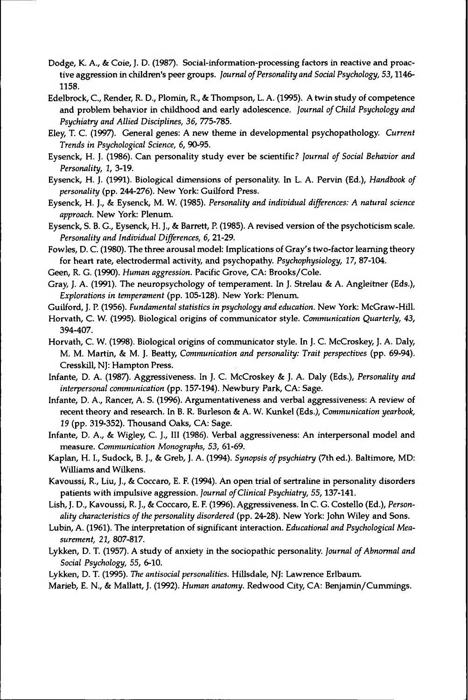- Dodge, K. A., & Coie, J. D. (1987). Social-information-processing factors in reactive and proactive aggression in children's peer groups. *Journal ofPersonality and Social Psychology, 53,*1146- 1158.
- Edelbrock, C., Render, R. D., Plomin, R., & Thompson, L. A. (1995). A twin study of competence and problem behavior in childhood and early adolescence. *Journal ofChild Psychology and Psychiatry and Allied Disciplines, 36, 775-785.*
- Eley, T. C. (1997). General genes: A new theme in developmental psychopathology. *Current Trends in Psychological Science, 6,* 90-95.
- Eysenck, H. J. (1986). Can personality study ever be scientific? *Journal of Social Behavior and Personality, 1,* 3-19.
- Eysenck, H. J. (1991). Biological dimensions of personality. In L. A. Pervin (Ed.), *Handbook of personality* (pp. 244-276). New York: Guilford Press.
- Eysenck, H. J., & Eysenck, M. W. (1985). *Personality and individual differences: A natural science approach.* New York: Plenum.
- Eysenck, S. B. G., Eysenck, H. J., & Barrett, P. (1985). A revised version of the psychoticism scale. *Personality and Individual Differences, 6,* 21-29.
- Fowles, D. C. (1980). The three arousal model: Implications of Gray's two-factor learning theory for heart rate, electrodermal activity, and psychopathy. *Psychophysiology, 17,* 87-104.
- Geen, R. G. (1990). *Human aggression.* Pacific Grove, CA: Brooks/Cole.
- Gray, J. A. (1991). The neuropsychology of temperament. In J. Strelau & A. Angleitner (Eds.), *Explorations in temperament* (pp. 105-128). New York: Plenum.
- Guilford, J. P. (1956). *Fundamental statistics in psychology and education.* New York: McGraw-Hill.
- Horvath, C. W. (1995). Biological origins of communicator style. *Communication Quarterly, 43,* 394-407.
- Horvath, C. W. (1998). Biological origins of communicator style. In J. C. McCroskey, J. A. Daly, M. M. Martin, & M. J. Beatty, *Communication and personality: Trait perspectives* (pp. 69-94). Cresskill, NJ: Hampton Press.
- Infante, D. A. (1987). Aggressiveness. In J. C. McCroskey & J. A. Daly (Eds.), *Personality and interpersonal communication* (pp. 157-194). Newbury Park, CA: Sage.
- Infante, D. A., Rancer, A. S. (1996). Argumentativeness and verbal aggressiveness: A review of recent theory and research. In B. R. Burleson & A. W. Kunkel (Eds.), *Communication yearbook, 19* (pp. 319-352). Thousand Oaks, CA: Sage.
- Infante, D. A., & Wigley, C. J., Ill (1986). Verbal aggressiveness: An interpersonal model and measure. *Communication Monographs, 53,* 61-69.
- Kaplan, H. I., Sudock, B. J., & Greb, J. A. (1994). *Synopsis ofpsychiatry* (7th ed.). Baltimore, MD: Williams and Wilkens.
- Kavoussi, R., Liu, J., & Coccaro, E. F. (1994). An open trial of sertraline in personality disorders patients with impulsive aggression. *Journal ofClinical Psychiatry, 55,*137-141.
- Lish, J. D., Kavoussi, R. J., & Coccaro, E. F. (1996). Aggressiveness. In C. G. Costello (Ed.), *Personality characteristics of the personality disordered* (pp. 24-28). New York: John Wiley and Sons.
- Lubin, A. (1961). The interpretation of significant interaction. *Educational and Psychological Measurement, 21,* 807-817.
- Lykken, D. T. (1957). A study of anxiety in the sociopathic personality. *Journal ofAbnormal and Social Psychology, 55,* 6-10.
- Lykken, D. T. (1995). *The antisocial personalities.* Hillsdale, NJ: Lawrence Erlbaum.
- Marieb, E. N., & Mallatt, J. (1992). *Human anatomy.* Redwood City, CA: Benjamin/Cummings.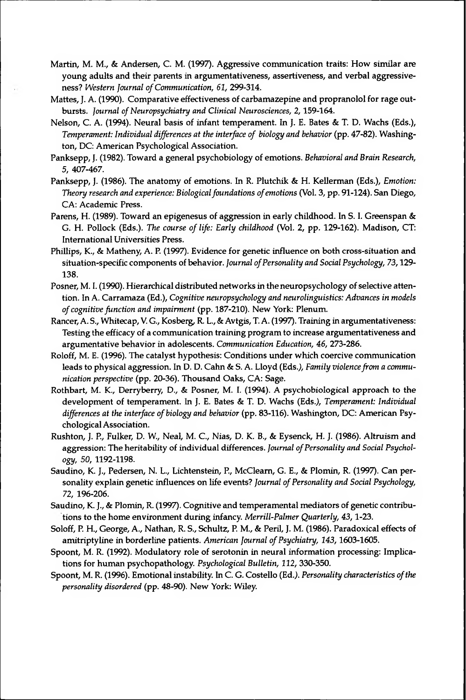- Martin, M. M., & Andersen, C. M. (1997). Aggressive communication traits: How similar are young adults and their parents in argumentativeness, assertiveness, and verbal aggressiveness? *Western Journal ofCommunication, 61,* 299-314.
- Mattes, J. A. (1990). Comparative effectiveness of carbamazepine and propranolol for rage outbursts. *Journal ofNeuropsychiatry and Clinical Neurosciences, 2,*159-164.
- Nelson, C. A. (1994). Neural basis of infant temperament. In J. E. Bates & T. D. Wachs (Eds.), *Temperament: Individual differences at the interface of biology and behavior* (pp. 47-82). Washington, DC: American Psychological Association.
- Panksepp, J. (1982). Toward a general psychobiology of emotions. *Behavioral and Brain Research, 5,* 407-467.
- Panksepp, J. (1986). The anatomy of emotions. In R. Plutchik & H. Kellerman (Eds.), *Emotion: Theory research and experience: Biologicalfoundations ofemotions* (Vol. 3, pp. 91-124). San Diego, CA: Academic Press.
- Parens, H. (1989). Toward an epigenesus of aggression in early childhood. In S. I. Greenspan & G. H. Pollock (Eds.). *The course of life: Early childhood* (Vol. 2, pp. 129-162). Madison, CT: International Universities Press.
- Phillips, K., & Matheny, A. P. (1997). Evidence for genetic influence on both cross-situation and situation-specific components of behavior. *Journal ofPersonality and Social Psychology, 73,*129- 138.
- Posner, M. I. (1990). Hierarchical distributed networks in the neuropsychology of selective attention. In A. Carramaza (Ed.), *Cognitive neuropsychology and neurolinguistics:Advances in models ofcognitive function and impairment* (pp. 187-210). New York: Plenum.
- Rancer,A. S., Whitecap,V. G., Kosberg, R. L., & Avtgis, T. A. (1997). Training in argumentativeness: Testing the efficacy of a communication training programto increase argumentativeness and argumentative behavior in adolescents. *Communication Education, 46,* 273-286.
- Roloff, M. E. (1996). The catalyst hypothesis: Conditions under which coercive communication leads to physical aggression. In D. D. Cahn & S. A. Lloyd (Eds.), *Family violence from a communication perspective* (pp. 20-36). Thousand Oaks, CA: Sage.
- Rothbart, M. K., Derryberry, D., & Posner, M. I. (1994). A psychobiological approach to the development of temperament. In J. E. Bates & T. D. Wachs (Eds.), *Temperament: Individual differences at the interface ofbiology and behavior* (pp. 83-116). Washington, DC: American Psychological Association.
- Rushton, J. P., Fulker, D. W., Neal, M. C., Nias, D. K. B., & Eysenck, H. J. (1986). Altruism and aggression: The heritability of individual differences. *Journal ofPersonality and Social Psychology, 50,* 1192-1198.
- Saudino, K. J., Pedersen, N. L., Lichtenstein, P., McClearn, G. E., & Plomin, R. (1997). Can personality explain genetic influences on life events? *Journal ofPersonality and Social Psychology, 72,* 196-206.
- Saudino, K. J., & Plomin, R. (1997). Cognitive and temperamental mediators of genetic contributions to the home environment during infancy. *Merrill-Palmer Quarterly, 43,*1-23.
- Soloff, P. H., George, A., Nathan, R. S., Schultz, P. M., & Peril, J. M. (1986). Paradoxical effects of amitriptyline in borderline patients. *American Journal ofPsychiatry, 143,*1603-1605.
- Spoont, M. R. (1992). Modulatory role of serotonin in neural information processing: Implications for human psychopathology. *Psychological Bulletin, 112,* 330-350.
- Spoont, M. R. (1996). Emotionalinstability. In C. G. Costello (Ed.). *Personality characteristics ofthe personality disordered* (pp. 48-90). New York: Wiley.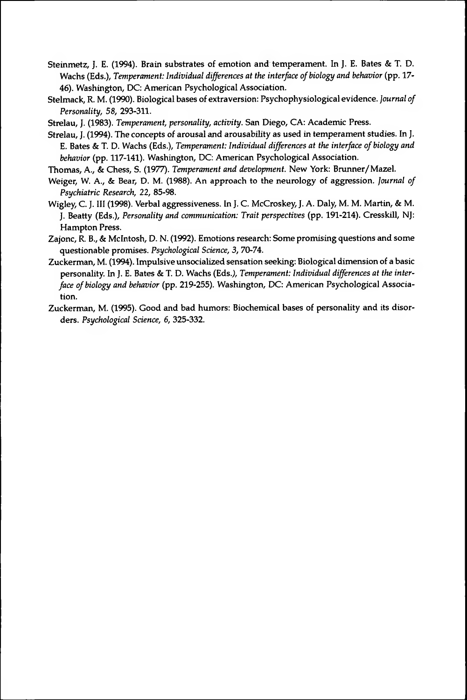- Steinmetz, J. E. (1994). Brain substrates of emotion and temperament. In J. E. Bates & T. D. Wachs (Eds.), *Temperament: Individual differences at the interface ofbiology and behavior* (pp. 17- 46). Washington, DC: American Psychological Association.
- Stelmack, R. M. (1990). Biological bases of extraversion: Psychophysiological evidence. *Journal of Personality, 58,* 293-311.
- Strelau, J. (1983). *Temperament, personality, activity.* San Diego, CA: Academic Press.
- Strelau, J. (1994). The concepts of arousal and arousability as used in temperamentstudies. In J. E. Bates & T. D. Wachs (Eds.), *Temperament: Individual differences at the interface ofbiology and behavior* (pp. 117-141). Washington, DC: American Psychological Association.
- Thomas, A., & Chess, S. (1977). *Temperament and development.* New York: Brunner/Mazel.
- Weiger, W. A., & Bear, D. M. (1988). An approach to the neurology of aggression. *Journal of Psychiatric Research, 22,* 85-98.
- Wigley, C. J. Ill (1998). Verbal aggressiveness. In J. C. McCroskey, J. A. Daly, M. M. Martin, & M. J. Beatty (Eds.), *Personality and communication: Trait perspectives* (pp. 191-214). Cresskill, NJ: Hampton Press.
- Zajonc, R. B., & McIntosh, D. N. (1992). Emotions research: Some promising questions and some questionable promises. *Psychological Science, 3,* 70-74.
- Zuckerman, M. (1994). Impulsive unsocialized sensation seeking: Biological dimension of a basic personality. In J. E. Bates & T. D. Wachs (Eds.), *Temperament: Individual differences at the interface ofbiology and behavior* (pp. 219-255). Washington, DC: American Psychological Association.
- Zuckerman, M. (1995). Good and bad humors: Biochemical bases of personality and its disorders. *Psychological Science, 6,* 325-332.